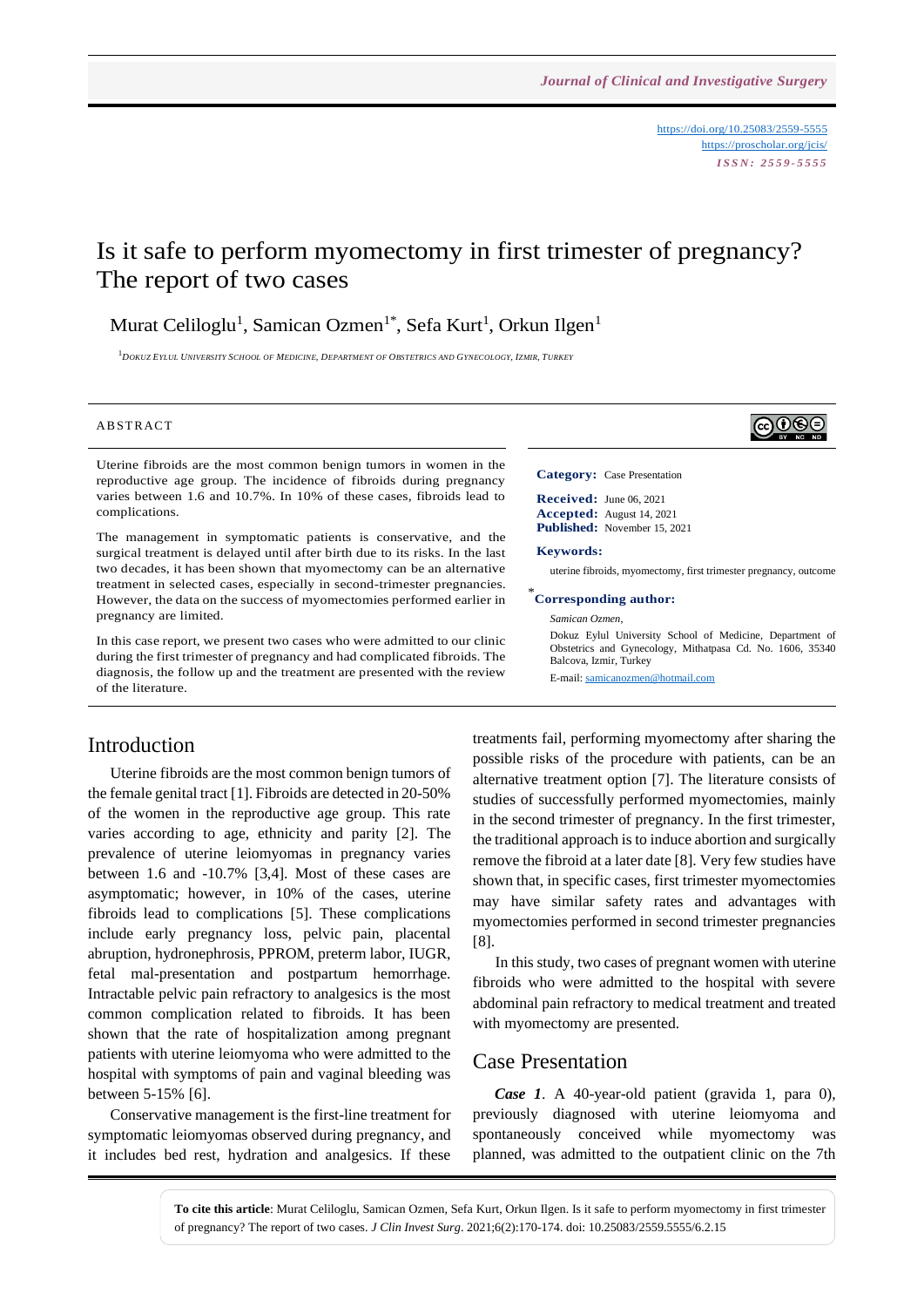<https://doi.org/10.25083/2559-5555> <https://proscholar.org/jcis/> *I S S N : 2 5 5 9 - 5 5 5 5*

∣ଢ⊕®

# Is it safe to perform myomectomy in first trimester of pregnancy? The report of two cases

Murat Celiloglu<sup>1</sup>, Samican Ozmen<sup>1\*</sup>, Sefa Kurt<sup>1</sup>, Orkun Ilgen<sup>1</sup>

 $^{-1}$ Dokuz Eylul University School of Medicine. Department of Obstetrics and Gynecology. Izmir. Turkey

#### **ABSTRACT**

Uterine fibroids are the most common benign tumors in women in the reproductive age group. The incidence of fibroids during pregnancy varies between 1.6 and 10.7%. In 10% of these cases, fibroids lead to complications.

The management in symptomatic patients is conservative, and the surgical treatment is delayed until after birth due to its risks. In the last two decades, it has been shown that myomectomy can be an alternative treatment in selected cases, especially in second-trimester pregnancies. However, the data on the success of myomectomies performed earlier in pregnancy are limited.

In this case report, we present two cases who were admitted to our clinic during the first trimester of pregnancy and had complicated fibroids. The diagnosis, the follow up and the treatment are presented with the review of the literature.

#### Introduction

Uterine fibroids are the most common benign tumors of the female genital tract [1]. Fibroids are detected in 20-50% of the women in the reproductive age group. This rate varies according to age, ethnicity and parity [2]. The prevalence of uterine leiomyomas in pregnancy varies between 1.6 and -10.7% [3,4]. Most of these cases are asymptomatic; however, in 10% of the cases, uterine fibroids lead to complications [5]. These complications include early pregnancy loss, pelvic pain, placental abruption, hydronephrosis, PPROM, preterm labor, IUGR, fetal mal-presentation and postpartum hemorrhage. Intractable pelvic pain refractory to analgesics is the most common complication related to fibroids. It has been shown that the rate of hospitalization among pregnant patients with uterine leiomyoma who were admitted to the hospital with symptoms of pain and vaginal bleeding was between 5-15% [6].

Conservative management is the first-line treatment for symptomatic leiomyomas observed during pregnancy, and it includes bed rest, hydration and analgesics. If these **Category:** Case Presentation

**Received:** June 06, 2021 **Accepted:** August 14, 2021 **Published:** November 15, 2021

#### **Keywords:**

uterine fibroids, myomectomy, first trimester pregnancy, outcome

#### \* **Corresponding author:**

#### *Samican Ozmen,*

Dokuz Eylul University School of Medicine, Department of Obstetrics and Gynecology, Mithatpasa Cd. No. 1606, 35340 Balcova, Izmir, Turkey

E-mail: [samicanozmen@hotmail.com](mailto:samicanozmen@hotmail.com)

treatments fail, performing myomectomy after sharing the possible risks of the procedure with patients, can be an alternative treatment option [7]. The literature consists of studies of successfully performed myomectomies, mainly in the second trimester of pregnancy. In the first trimester, the traditional approach is to induce abortion and surgically remove the fibroid at a later date [8]. Very few studies have shown that, in specific cases, first trimester myomectomies may have similar safety rates and advantages with myomectomies performed in second trimester pregnancies [8].

In this study, two cases of pregnant women with uterine fibroids who were admitted to the hospital with severe abdominal pain refractory to medical treatment and treated with myomectomy are presented.

#### Case Presentation

*Case 1*. A 40-year-old patient (gravida 1, para 0), previously diagnosed with uterine leiomyoma and spontaneously conceived while myomectomy was planned, was admitted to the outpatient clinic on the 7th

**To cite this article**: Murat Celiloglu, Samican Ozmen, Sefa Kurt, Orkun Ilgen. Is it safe to perform myomectomy in first trimester of pregnancy? The report of two cases. *J Clin Invest Surg*. 2021;6(2):170-174. doi: 10.25083/2559.5555/6.2.15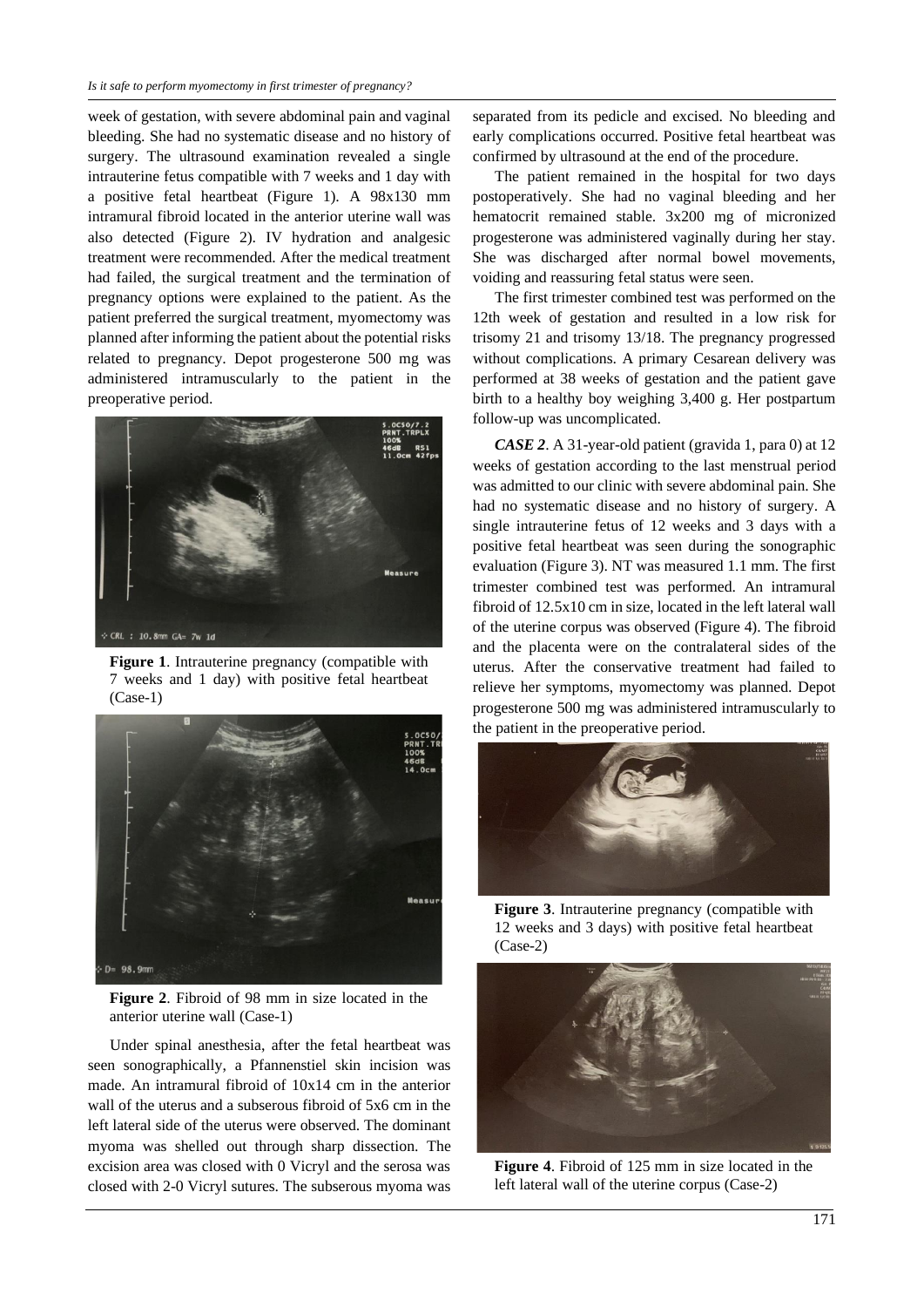week of gestation, with severe abdominal pain and vaginal bleeding. She had no systematic disease and no history of surgery. The ultrasound examination revealed a single intrauterine fetus compatible with 7 weeks and 1 day with a positive fetal heartbeat (Figure 1). A 98x130 mm intramural fibroid located in the anterior uterine wall was also detected (Figure 2). IV hydration and analgesic treatment were recommended. After the medical treatment had failed, the surgical treatment and the termination of pregnancy options were explained to the patient. As the patient preferred the surgical treatment, myomectomy was planned after informing the patient about the potential risks related to pregnancy. Depot progesterone 500 mg was administered intramuscularly to the patient in the preoperative period.



**Figure 1**. Intrauterine pregnancy (compatible with 7 weeks and 1 day) with positive fetal heartbeat (Case-1)



**Figure 2**. Fibroid of 98 mm in size located in the anterior uterine wall (Case-1)

Under spinal anesthesia, after the fetal heartbeat was seen sonographically, a Pfannenstiel skin incision was made. An intramural fibroid of 10x14 cm in the anterior wall of the uterus and a subserous fibroid of 5x6 cm in the left lateral side of the uterus were observed. The dominant myoma was shelled out through sharp dissection. The excision area was closed with 0 Vicryl and the serosa was closed with 2-0 Vicryl sutures. The subserous myoma was

separated from its pedicle and excised. No bleeding and early complications occurred. Positive fetal heartbeat was confirmed by ultrasound at the end of the procedure.

The patient remained in the hospital for two days postoperatively. She had no vaginal bleeding and her hematocrit remained stable. 3x200 mg of micronized progesterone was administered vaginally during her stay. She was discharged after normal bowel movements, voiding and reassuring fetal status were seen.

The first trimester combined test was performed on the 12th week of gestation and resulted in a low risk for trisomy 21 and trisomy 13/18. The pregnancy progressed without complications. A primary Cesarean delivery was performed at 38 weeks of gestation and the patient gave birth to a healthy boy weighing 3,400 g. Her postpartum follow-up was uncomplicated.

*CASE 2*. A 31-year-old patient (gravida 1, para 0) at 12 weeks of gestation according to the last menstrual period was admitted to our clinic with severe abdominal pain. She had no systematic disease and no history of surgery. A single intrauterine fetus of 12 weeks and 3 days with a positive fetal heartbeat was seen during the sonographic evaluation (Figure 3). NT was measured 1.1 mm. The first trimester combined test was performed. An intramural fibroid of 12.5x10 cm in size, located in the left lateral wall of the uterine corpus was observed (Figure 4). The fibroid and the placenta were on the contralateral sides of the uterus. After the conservative treatment had failed to relieve her symptoms, myomectomy was planned. Depot progesterone 500 mg was administered intramuscularly to the patient in the preoperative period.



**Figure 3**. Intrauterine pregnancy (compatible with 12 weeks and 3 days) with positive fetal heartbeat (Case-2)



**Figure 4**. Fibroid of 125 mm in size located in the left lateral wall of the uterine corpus (Case-2)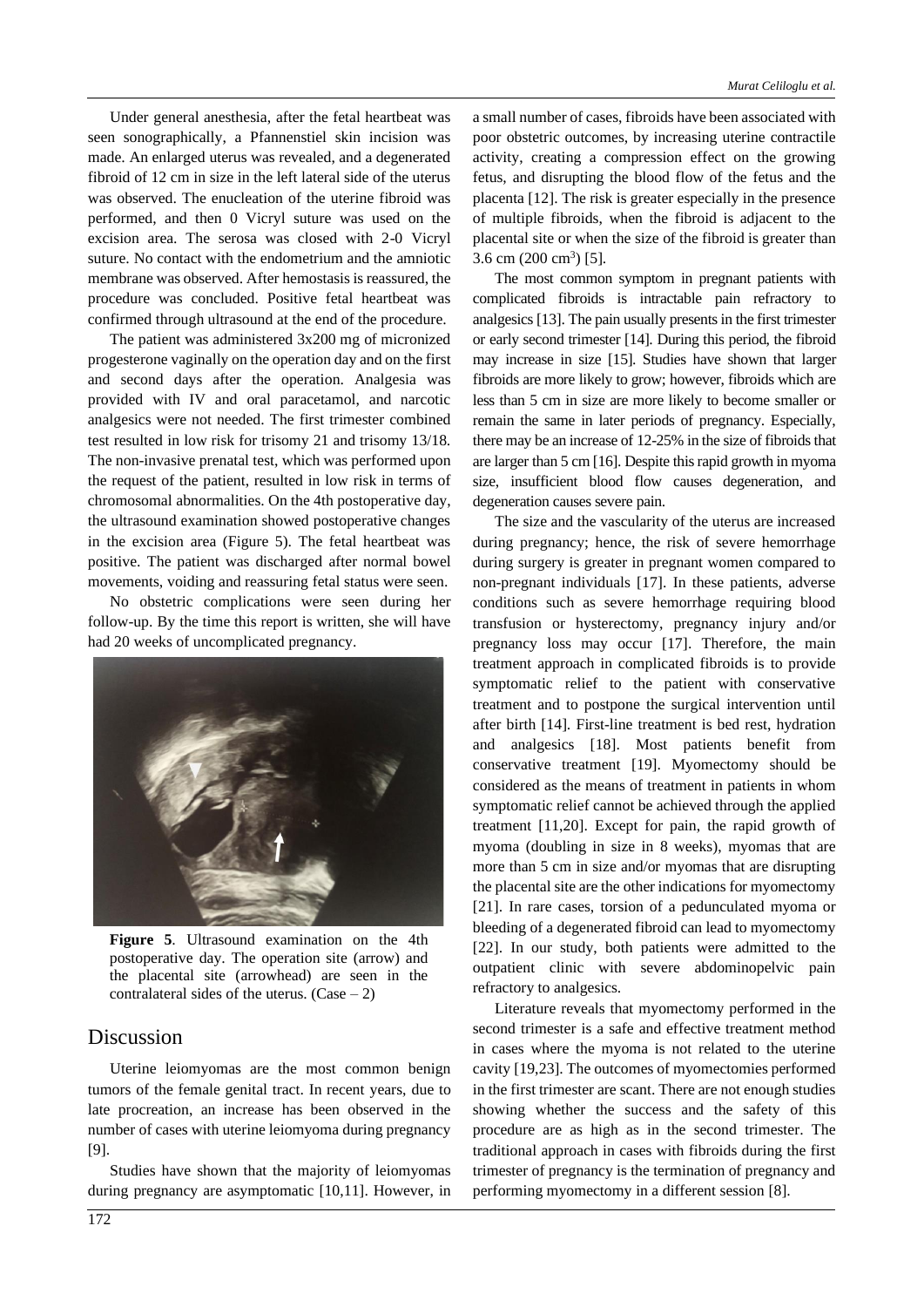Under general anesthesia, after the fetal heartbeat was seen sonographically, a Pfannenstiel skin incision was made. An enlarged uterus was revealed, and a degenerated fibroid of 12 cm in size in the left lateral side of the uterus was observed. The enucleation of the uterine fibroid was performed, and then 0 Vicryl suture was used on the excision area. The serosa was closed with 2-0 Vicryl suture. No contact with the endometrium and the amniotic membrane was observed. After hemostasis is reassured, the procedure was concluded. Positive fetal heartbeat was confirmed through ultrasound at the end of the procedure.

The patient was administered 3x200 mg of micronized progesterone vaginally on the operation day and on the first and second days after the operation. Analgesia was provided with IV and oral paracetamol, and narcotic analgesics were not needed. The first trimester combined test resulted in low risk for trisomy 21 and trisomy 13/18. The non-invasive prenatal test, which was performed upon the request of the patient, resulted in low risk in terms of chromosomal abnormalities. On the 4th postoperative day, the ultrasound examination showed postoperative changes in the excision area (Figure 5). The fetal heartbeat was positive. The patient was discharged after normal bowel movements, voiding and reassuring fetal status were seen.

No obstetric complications were seen during her follow-up. By the time this report is written, she will have had 20 weeks of uncomplicated pregnancy.



**Figure 5**. Ultrasound examination on the 4th postoperative day. The operation site (arrow) and the placental site (arrowhead) are seen in the contralateral sides of the uterus.  $(Case - 2)$ 

## Discussion

Uterine leiomyomas are the most common benign tumors of the female genital tract. In recent years, due to late procreation, an increase has been observed in the number of cases with uterine leiomyoma during pregnancy [9].

Studies have shown that the majority of leiomyomas during pregnancy are asymptomatic [10,11]. However, in

a small number of cases, fibroids have been associated with poor obstetric outcomes, by increasing uterine contractile activity, creating a compression effect on the growing fetus, and disrupting the blood flow of the fetus and the placenta [12]. The risk is greater especially in the presence of multiple fibroids, when the fibroid is adjacent to the placental site or when the size of the fibroid is greater than  $3.6 \text{ cm } (200 \text{ cm}^3)$  [5].

The most common symptom in pregnant patients with complicated fibroids is intractable pain refractory to analgesics[13]. The pain usually presents in the first trimester or early second trimester [14]. During this period, the fibroid may increase in size [15]. Studies have shown that larger fibroids are more likely to grow; however, fibroids which are less than 5 cm in size are more likely to become smaller or remain the same in later periods of pregnancy. Especially, there may be an increase of 12-25% in the size of fibroids that are larger than 5 cm [16]. Despite this rapid growth in myoma size, insufficient blood flow causes degeneration, and degeneration causes severe pain.

The size and the vascularity of the uterus are increased during pregnancy; hence, the risk of severe hemorrhage during surgery is greater in pregnant women compared to non-pregnant individuals [17]. In these patients, adverse conditions such as severe hemorrhage requiring blood transfusion or hysterectomy, pregnancy injury and/or pregnancy loss may occur [17]. Therefore, the main treatment approach in complicated fibroids is to provide symptomatic relief to the patient with conservative treatment and to postpone the surgical intervention until after birth [14]. First-line treatment is bed rest, hydration and analgesics [18]. Most patients benefit from conservative treatment [19]. Myomectomy should be considered as the means of treatment in patients in whom symptomatic relief cannot be achieved through the applied treatment [11,20]. Except for pain, the rapid growth of myoma (doubling in size in 8 weeks), myomas that are more than 5 cm in size and/or myomas that are disrupting the placental site are the other indications for myomectomy [21]. In rare cases, torsion of a pedunculated myoma or bleeding of a degenerated fibroid can lead to myomectomy [22]. In our study, both patients were admitted to the outpatient clinic with severe abdominopelvic pain refractory to analgesics.

Literature reveals that myomectomy performed in the second trimester is a safe and effective treatment method in cases where the myoma is not related to the uterine cavity [19,23]. The outcomes of myomectomies performed in the first trimester are scant. There are not enough studies showing whether the success and the safety of this procedure are as high as in the second trimester. The traditional approach in cases with fibroids during the first trimester of pregnancy is the termination of pregnancy and performing myomectomy in a different session [8].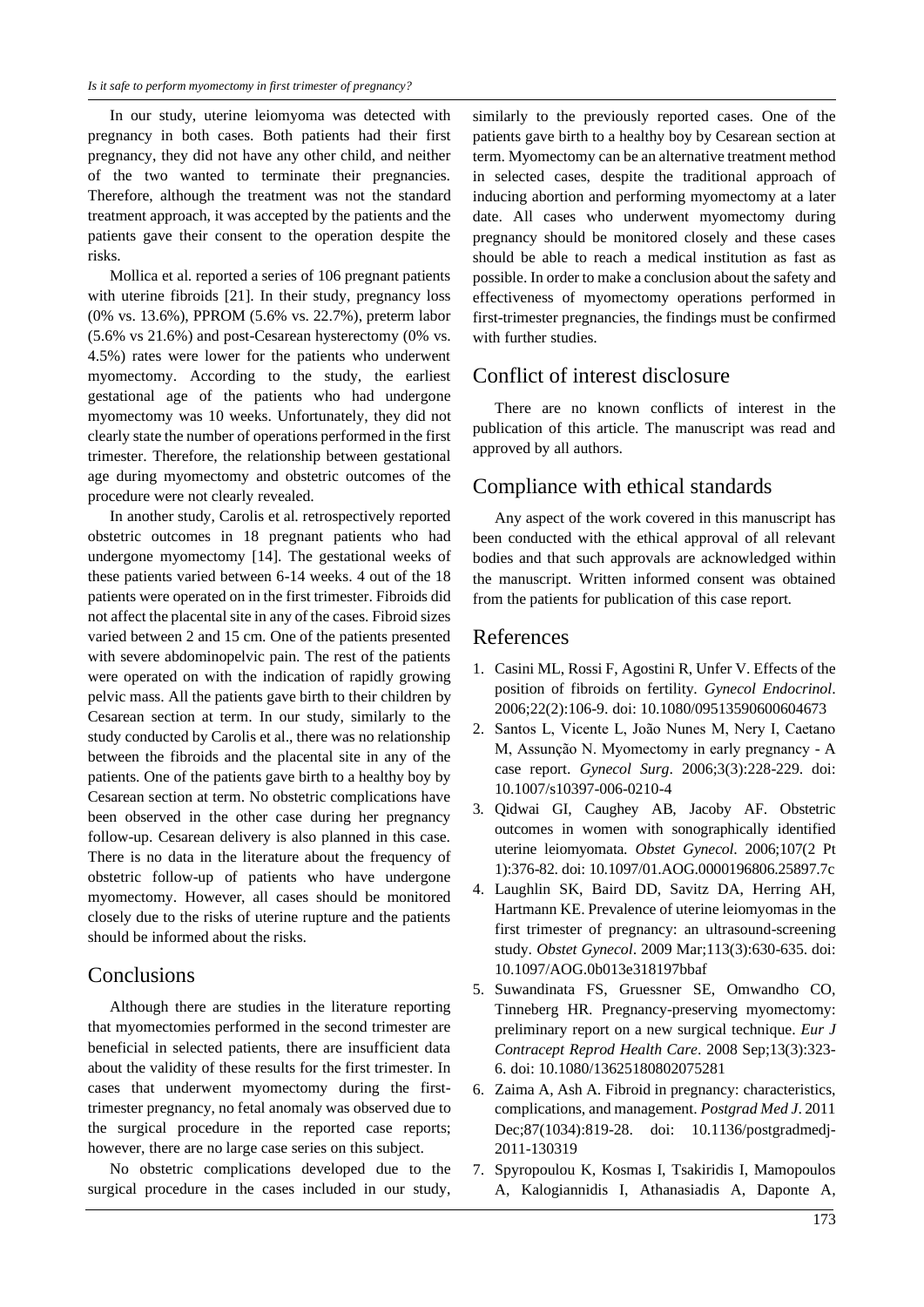In our study, uterine leiomyoma was detected with pregnancy in both cases. Both patients had their first pregnancy, they did not have any other child, and neither of the two wanted to terminate their pregnancies. Therefore, although the treatment was not the standard treatment approach, it was accepted by the patients and the patients gave their consent to the operation despite the risks.

Mollica et al. reported a series of 106 pregnant patients with uterine fibroids [21]. In their study, pregnancy loss (0% vs. 13.6%), PPROM (5.6% vs. 22.7%), preterm labor (5.6% vs 21.6%) and post-Cesarean hysterectomy (0% vs. 4.5%) rates were lower for the patients who underwent myomectomy. According to the study, the earliest gestational age of the patients who had undergone myomectomy was 10 weeks. Unfortunately, they did not clearly state the number of operations performed in the first trimester. Therefore, the relationship between gestational age during myomectomy and obstetric outcomes of the procedure were not clearly revealed.

In another study, Carolis et al. retrospectively reported obstetric outcomes in 18 pregnant patients who had undergone myomectomy [14]. The gestational weeks of these patients varied between 6-14 weeks. 4 out of the 18 patients were operated on in the first trimester. Fibroids did not affect the placental site in any of the cases. Fibroid sizes varied between 2 and 15 cm. One of the patients presented with severe abdominopelvic pain. The rest of the patients were operated on with the indication of rapidly growing pelvic mass. All the patients gave birth to their children by Cesarean section at term. In our study, similarly to the study conducted by Carolis et al., there was no relationship between the fibroids and the placental site in any of the patients. One of the patients gave birth to a healthy boy by Cesarean section at term. No obstetric complications have been observed in the other case during her pregnancy follow-up. Cesarean delivery is also planned in this case. There is no data in the literature about the frequency of obstetric follow-up of patients who have undergone myomectomy. However, all cases should be monitored closely due to the risks of uterine rupture and the patients should be informed about the risks.

#### Conclusions

Although there are studies in the literature reporting that myomectomies performed in the second trimester are beneficial in selected patients, there are insufficient data about the validity of these results for the first trimester. In cases that underwent myomectomy during the firsttrimester pregnancy, no fetal anomaly was observed due to the surgical procedure in the reported case reports; however, there are no large case series on this subject.

No obstetric complications developed due to the surgical procedure in the cases included in our study,

similarly to the previously reported cases. One of the patients gave birth to a healthy boy by Cesarean section at term. Myomectomy can be an alternative treatment method in selected cases, despite the traditional approach of inducing abortion and performing myomectomy at a later date. All cases who underwent myomectomy during pregnancy should be monitored closely and these cases should be able to reach a medical institution as fast as possible. In order to make a conclusion about the safety and effectiveness of myomectomy operations performed in first-trimester pregnancies, the findings must be confirmed with further studies.

### Conflict of interest disclosure

There are no known conflicts of interest in the publication of this article. The manuscript was read and approved by all authors.

### Compliance with ethical standards

Any aspect of the work covered in this manuscript has been conducted with the ethical approval of all relevant bodies and that such approvals are acknowledged within the manuscript. Written informed consent was obtained from the patients for publication of this case report.

#### References

- 1. Casini ML, Rossi F, Agostini R, Unfer V. Effects of the position of fibroids on fertility. *Gynecol Endocrinol*. 2006;22(2):106-9. doi: 10.1080/09513590600604673
- 2. Santos L, Vicente L, João Nunes M, Nery I, Caetano M, Assunção N. Myomectomy in early pregnancy - A case report. *Gynecol Surg*. 2006;3(3):228-229. doi: 10.1007/s10397-006-0210-4
- 3. Qidwai GI, Caughey AB, Jacoby AF. Obstetric outcomes in women with sonographically identified uterine leiomyomata. *Obstet Gynecol*. 2006;107(2 Pt 1):376-82. doi: 10.1097/01.AOG.0000196806.25897.7c
- 4. Laughlin SK, Baird DD, Savitz DA, Herring AH, Hartmann KE. Prevalence of uterine leiomyomas in the first trimester of pregnancy: an ultrasound-screening study. *Obstet Gynecol*. 2009 Mar;113(3):630-635. doi: 10.1097/AOG.0b013e318197bbaf
- 5. Suwandinata FS, Gruessner SE, Omwandho CO, Tinneberg HR. Pregnancy-preserving myomectomy: preliminary report on a new surgical technique. *Eur J Contracept Reprod Health Care*. 2008 Sep;13(3):323- 6. doi: 10.1080/13625180802075281
- 6. Zaima A, Ash A. Fibroid in pregnancy: characteristics, complications, and management. *Postgrad Med J*. 2011 Dec;87(1034):819-28. doi: 10.1136/postgradmedj-2011-130319
- 7. Spyropoulou K, Kosmas I, Tsakiridis I, Mamopoulos A, Kalogiannidis I, Athanasiadis A, Daponte A,